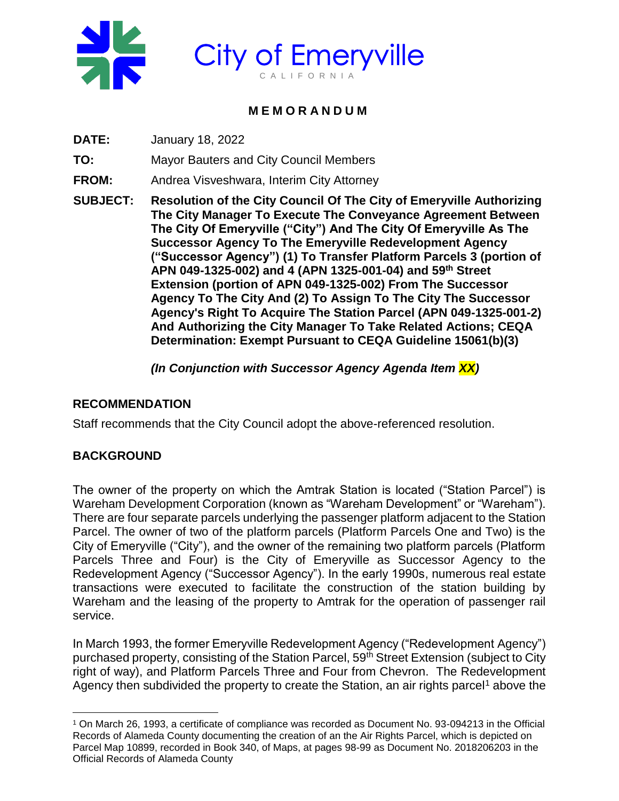

# **City of Emeryville** C A L I F O R N I A

# **M E M O R A N D U M**

**DATE:** January 18, 2022

**TO:** Mayor Bauters and City Council Members

**FROM:** Andrea Visveshwara, Interim City Attorney

**SUBJECT: Resolution of the City Council Of The City of Emeryville Authorizing The City Manager To Execute The Conveyance Agreement Between The City Of Emeryville ("City") And The City Of Emeryville As The Successor Agency To The Emeryville Redevelopment Agency ("Successor Agency") (1) To Transfer Platform Parcels 3 (portion of APN 049-1325-002) and 4 (APN 1325-001-04) and 59th Street Extension (portion of APN 049-1325-002) From The Successor Agency To The City And (2) To Assign To The City The Successor Agency's Right To Acquire The Station Parcel (APN 049-1325-001-2) And Authorizing the City Manager To Take Related Actions; CEQA Determination: Exempt Pursuant to CEQA Guideline 15061(b)(3)**

*(In Conjunction with Successor Agency Agenda Item XX)*

## **RECOMMENDATION**

Staff recommends that the City Council adopt the above-referenced resolution.

## **BACKGROUND**

 $\overline{a}$ 

The owner of the property on which the Amtrak Station is located ("Station Parcel") is Wareham Development Corporation (known as "Wareham Development" or "Wareham"). There are four separate parcels underlying the passenger platform adjacent to the Station Parcel. The owner of two of the platform parcels (Platform Parcels One and Two) is the City of Emeryville ("City"), and the owner of the remaining two platform parcels (Platform Parcels Three and Four) is the City of Emeryville as Successor Agency to the Redevelopment Agency ("Successor Agency"). In the early 1990s, numerous real estate transactions were executed to facilitate the construction of the station building by Wareham and the leasing of the property to Amtrak for the operation of passenger rail service.

In March 1993, the former Emeryville Redevelopment Agency ("Redevelopment Agency") purchased property, consisting of the Station Parcel, 59<sup>th</sup> Street Extension (subject to City right of way), and Platform Parcels Three and Four from Chevron. The Redevelopment Agency then subdivided the property to create the Station, an air rights parcel<sup>1</sup> above the

<sup>1</sup> On March 26, 1993, a certificate of compliance was recorded as Document No. 93-094213 in the Official Records of Alameda County documenting the creation of an the Air Rights Parcel, which is depicted on Parcel Map 10899, recorded in Book 340, of Maps, at pages 98-99 as Document No. 2018206203 in the Official Records of Alameda County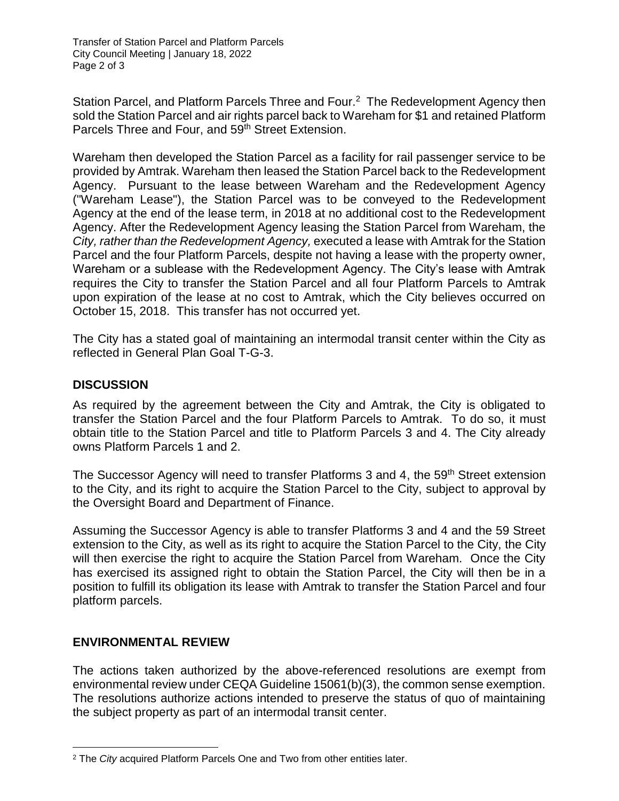Station Parcel, and Platform Parcels Three and Four.<sup>2</sup> The Redevelopment Agency then sold the Station Parcel and air rights parcel back to Wareham for \$1 and retained Platform Parcels Three and Four, and 59<sup>th</sup> Street Extension.

Wareham then developed the Station Parcel as a facility for rail passenger service to be provided by Amtrak. Wareham then leased the Station Parcel back to the Redevelopment Agency. Pursuant to the lease between Wareham and the Redevelopment Agency ("Wareham Lease"), the Station Parcel was to be conveyed to the Redevelopment Agency at the end of the lease term, in 2018 at no additional cost to the Redevelopment Agency. After the Redevelopment Agency leasing the Station Parcel from Wareham, the *City, rather than the Redevelopment Agency,* executed a lease with Amtrak for the Station Parcel and the four Platform Parcels, despite not having a lease with the property owner, Wareham or a sublease with the Redevelopment Agency. The City's lease with Amtrak requires the City to transfer the Station Parcel and all four Platform Parcels to Amtrak upon expiration of the lease at no cost to Amtrak, which the City believes occurred on October 15, 2018. This transfer has not occurred yet.

The City has a stated goal of maintaining an intermodal transit center within the City as reflected in General Plan Goal T-G-3.

### **DISCUSSION**

As required by the agreement between the City and Amtrak, the City is obligated to transfer the Station Parcel and the four Platform Parcels to Amtrak. To do so, it must obtain title to the Station Parcel and title to Platform Parcels 3 and 4. The City already owns Platform Parcels 1 and 2.

The Successor Agency will need to transfer Platforms 3 and 4, the 59<sup>th</sup> Street extension to the City, and its right to acquire the Station Parcel to the City, subject to approval by the Oversight Board and Department of Finance.

Assuming the Successor Agency is able to transfer Platforms 3 and 4 and the 59 Street extension to the City, as well as its right to acquire the Station Parcel to the City, the City will then exercise the right to acquire the Station Parcel from Wareham. Once the City has exercised its assigned right to obtain the Station Parcel, the City will then be in a position to fulfill its obligation its lease with Amtrak to transfer the Station Parcel and four platform parcels.

### **ENVIRONMENTAL REVIEW**

The actions taken authorized by the above-referenced resolutions are exempt from environmental review under CEQA Guideline 15061(b)(3), the common sense exemption. The resolutions authorize actions intended to preserve the status of quo of maintaining the subject property as part of an intermodal transit center.

 $\overline{a}$ <sup>2</sup> The *City* acquired Platform Parcels One and Two from other entities later.